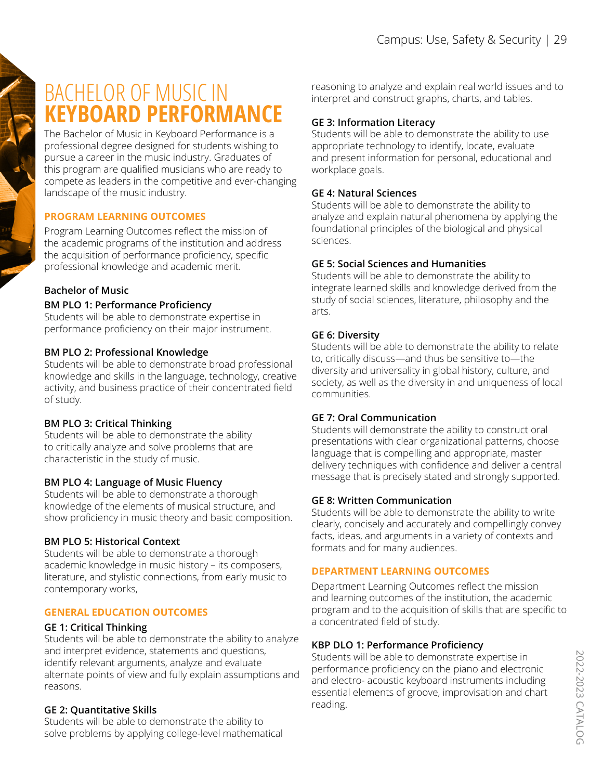# BACHELOR OF MUSIC IN **KEYBOARD PERFORMANCE**

The Bachelor of Music in Keyboard Performance is a professional degree designed for students wishing to pursue a career in the music industry. Graduates of this program are qualified musicians who are ready to compete as leaders in the competitive and ever-changing landscape of the music industry.

#### **PROGRAM LEARNING OUTCOMES**

Program Learning Outcomes reflect the mission of the academic programs of the institution and address the acquisition of performance proficiency, specific professional knowledge and academic merit.

### **Bachelor of Music**

#### **BM PLO 1: Performance Proficiency**

Students will be able to demonstrate expertise in performance proficiency on their major instrument.

#### **BM PLO 2: Professional Knowledge**

Students will be able to demonstrate broad professional knowledge and skills in the language, technology, creative activity, and business practice of their concentrated field of study.

#### **BM PLO 3: Critical Thinking**

Students will be able to demonstrate the ability to critically analyze and solve problems that are characteristic in the study of music.

#### **BM PLO 4: Language of Music Fluency**

Students will be able to demonstrate a thorough knowledge of the elements of musical structure, and show proficiency in music theory and basic composition.

#### **BM PLO 5: Historical Context**

Students will be able to demonstrate a thorough academic knowledge in music history – its composers, literature, and stylistic connections, from early music to contemporary works,

#### **GENERAL EDUCATION OUTCOMES**

#### **GE 1: Critical Thinking**

Students will be able to demonstrate the ability to analyze and interpret evidence, statements and questions, identify relevant arguments, analyze and evaluate alternate points of view and fully explain assumptions and reasons.

#### **GE 2: Quantitative Skills**

Students will be able to demonstrate the ability to solve problems by applying college-level mathematical reasoning to analyze and explain real world issues and to interpret and construct graphs, charts, and tables.

#### **GE 3: Information Literacy**

Students will be able to demonstrate the ability to use appropriate technology to identify, locate, evaluate and present information for personal, educational and workplace goals.

#### **GE 4: Natural Sciences**

Students will be able to demonstrate the ability to analyze and explain natural phenomena by applying the foundational principles of the biological and physical sciences.

#### **GE 5: Social Sciences and Humanities**

Students will be able to demonstrate the ability to integrate learned skills and knowledge derived from the study of social sciences, literature, philosophy and the arts.

#### **GE 6: Diversity**

Students will be able to demonstrate the ability to relate to, critically discuss—and thus be sensitive to—the diversity and universality in global history, culture, and society, as well as the diversity in and uniqueness of local communities.

#### **GE 7: Oral Communication**

Students will demonstrate the ability to construct oral presentations with clear organizational patterns, choose language that is compelling and appropriate, master delivery techniques with confidence and deliver a central message that is precisely stated and strongly supported.

#### **GE 8: Written Communication**

Students will be able to demonstrate the ability to write clearly, concisely and accurately and compellingly convey facts, ideas, and arguments in a variety of contexts and formats and for many audiences.

#### **DEPARTMENT LEARNING OUTCOMES**

Department Learning Outcomes reflect the mission and learning outcomes of the institution, the academic program and to the acquisition of skills that are specific to a concentrated field of study.

#### **KBP DLO 1: Performance Proficiency**

Students will be able to demonstrate expertise in performance proficiency on the piano and electronic and electro- acoustic keyboard instruments including essential elements of groove, improvisation and chart reading.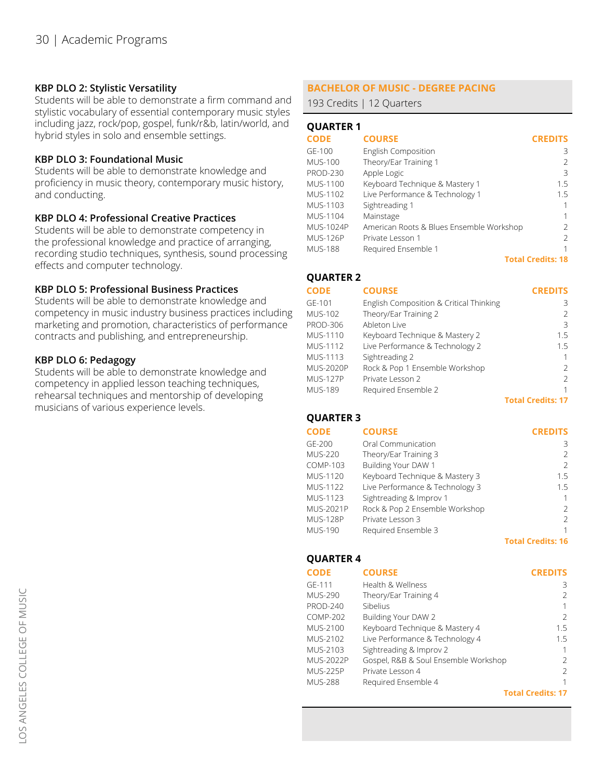#### **KBP DLO 2: Stylistic Versatility**

Students will be able to demonstrate a firm command and stylistic vocabulary of essential contemporary music styles including jazz, rock/pop, gospel, funk/r&b, latin/world, and hybrid styles in solo and ensemble settings.

#### **KBP DLO 3: Foundational Music**

Students will be able to demonstrate knowledge and proficiency in music theory, contemporary music history, and conducting.

#### **KBP DLO 4: Professional Creative Practices**

Students will be able to demonstrate competency in the professional knowledge and practice of arranging, recording studio techniques, synthesis, sound processing effects and computer technology.

#### **KBP DLO 5: Professional Business Practices**

Students will be able to demonstrate knowledge and competency in music industry business practices including marketing and promotion, characteristics of performance contracts and publishing, and entrepreneurship.

#### **KBP DLO 6: Pedagogy**

Students will be able to demonstrate knowledge and competency in applied lesson teaching techniques, rehearsal techniques and mentorship of developing musicians of various experience levels.

### **BACHELOR OF MUSIC - DEGREE PACING**

193 Credits | 12 Quarters

#### **QUARTER 1**

| <b>CODE</b>      | <b>COURSE</b>                            | <b>CREDITS</b>           |
|------------------|------------------------------------------|--------------------------|
| GE-100           | <b>English Composition</b>               | 3                        |
| <b>MUS-100</b>   | Theory/Ear Training 1                    |                          |
| <b>PROD-230</b>  | Apple Logic                              | 3                        |
| <b>MUS-1100</b>  | Keyboard Technique & Mastery 1           | 15                       |
| MUS-1102         | Live Performance & Technology 1          | 1.5                      |
| MUS-1103         | Sightreading 1                           |                          |
| MUS-1104         | Mainstage                                | 1                        |
| <b>MUS-1024P</b> | American Roots & Blues Ensemble Workshop | 2                        |
| <b>MUS-126P</b>  | Private Lesson 1                         | 2                        |
| <b>MUS-188</b>   | Required Ensemble 1                      |                          |
|                  |                                          | <b>Total Credits: 18</b> |

### **QUARTER 2**

**CREDITS**

| <b>CODE</b>      | <b>COURSE</b>                           | <b>CREDITS</b>           |
|------------------|-----------------------------------------|--------------------------|
| GE-101           | English Composition & Critical Thinking | 3                        |
| <b>MUS-102</b>   | Theory/Ear Training 2                   | $\mathcal{L}$            |
| <b>PROD-306</b>  | Ableton Live                            | 3                        |
| MUS-1110         | Keyboard Technique & Mastery 2          | 1.5                      |
| <b>MUS-1112</b>  | Live Performance & Technology 2         | 1.5                      |
| <b>MUS-1113</b>  | Sightreading 2                          | 1                        |
| <b>MUS-2020P</b> | Rock & Pop 1 Ensemble Workshop          | $\mathcal{L}$            |
| <b>MUS-127P</b>  | Private Lesson 2                        | $\mathcal{L}$            |
| <b>MUS-189</b>   | Required Ensemble 2                     | 1                        |
|                  |                                         | <b>Total Credits: 17</b> |

#### **QUARTER 3**

| <b>CODE</b>      | <b>COURSE</b>                   | <b>CREDITS</b>           |
|------------------|---------------------------------|--------------------------|
| GE-200           | Oral Communication              | 3                        |
| <b>MUS-220</b>   | Theory/Ear Training 3           | $\mathcal{L}$            |
| COMP-103         | Building Your DAW 1             | $\mathcal{L}$            |
| MUS-1120         | Keyboard Technique & Mastery 3  | 1.5                      |
| MUS-1122         | Live Performance & Technology 3 | 1.5                      |
| MUS-1123         | Sightreading & Improv 1         | 1                        |
| <b>MUS-2021P</b> | Rock & Pop 2 Ensemble Workshop  | $\mathcal{P}$            |
| <b>MUS-128P</b>  | Private Lesson 3                | 2                        |
| <b>MUS-190</b>   | Required Ensemble 3             | 1                        |
|                  |                                 | <b>Total Credits: 16</b> |

#### **QUARTER 4**

| <b>CODE</b>      | <b>COURSE</b>                        | <b>CREDITS</b>           |
|------------------|--------------------------------------|--------------------------|
| GE-111           | Health & Wellness                    | 3                        |
| <b>MUS-290</b>   | Theory/Ear Training 4                | $\mathcal{P}$            |
| <b>PROD-240</b>  | Sibelius                             | 1                        |
| <b>COMP-202</b>  | Building Your DAW 2                  | $\mathcal{P}$            |
| MUS-2100         | Keyboard Technique & Mastery 4       | 1.5                      |
| MUS-2102         | Live Performance & Technology 4      | 1.5                      |
| MUS-2103         | Sightreading & Improv 2              | 1                        |
| <b>MUS-2022P</b> | Gospel, R&B & Soul Ensemble Workshop | $\mathcal{P}$            |
| <b>MUS-225P</b>  | Private Lesson 4                     | $\mathcal{P}$            |
| MUS-288          | Required Ensemble 4                  | 1                        |
|                  |                                      | <b>Total Credits: 17</b> |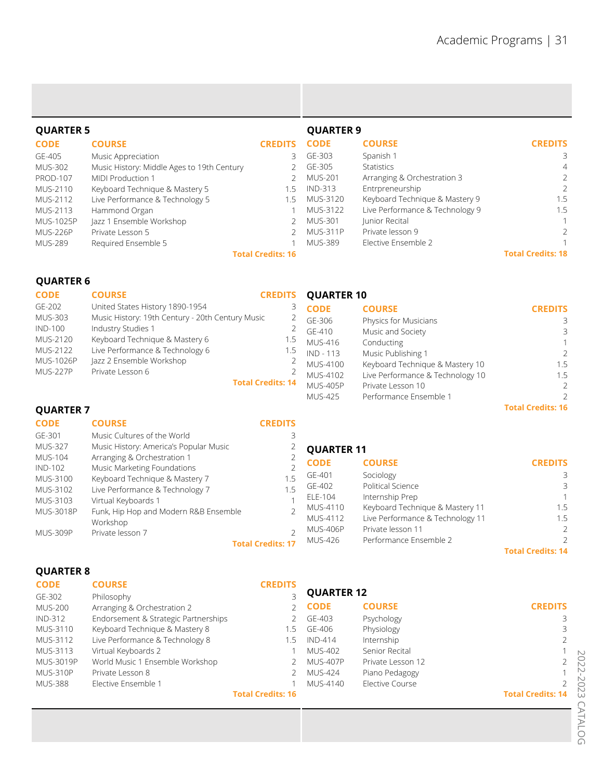| <b>QUARTER 5</b> |                                            |                          | <b>QUARTER 9</b> |                                 |                          |
|------------------|--------------------------------------------|--------------------------|------------------|---------------------------------|--------------------------|
| <b>CODE</b>      | <b>COURSE</b>                              | <b>CREDITS</b>           | <b>CODE</b>      | <b>COURSE</b>                   | <b>CREDITS</b>           |
| GE-405           | Music Appreciation                         | 3                        | GE-303           | Spanish 1                       | 3                        |
| <b>MUS-302</b>   | Music History: Middle Ages to 19th Century |                          | GE-305           | <b>Statistics</b>               | $\overline{4}$           |
| <b>PROD-107</b>  | MIDI Production 1                          |                          | <b>MUS-201</b>   | Arranging & Orchestration 3     | 2                        |
| MUS-2110         | Keyboard Technique & Mastery 5             | 1.5                      | IND-313          | Entrpreneurship                 | $\mathcal{P}$            |
| MUS-2112         | Live Performance & Technology 5            | 1.5                      | MUS-3120         | Keyboard Technique & Mastery 9  | 1.5                      |
| MUS-2113         | Hammond Organ                              |                          | MUS-3122         | Live Performance & Technology 9 | 1.5                      |
| <b>MUS-1025P</b> | Jazz 1 Ensemble Workshop                   |                          | <b>MUS-301</b>   | Junior Recital                  |                          |
| <b>MUS-226P</b>  | Private Lesson 5                           |                          | <b>MUS-311P</b>  | Private lesson 9                | $\mathcal{P}$            |
| <b>MUS-289</b>   | Required Ensemble 5                        |                          | <b>MUS-389</b>   | Elective Ensemble 2             |                          |
|                  |                                            | <b>Total Credits: 16</b> |                  |                                 | <b>Total Credits: 18</b> |

#### **QUARTER 6**

| <b>CODE</b>     | <b>COURSE</b>                                    | <b>CREDITS</b>           | <b>QUARTER 10</b> |                                  |                |
|-----------------|--------------------------------------------------|--------------------------|-------------------|----------------------------------|----------------|
| GE-202          | United States History 1890-1954                  | 3                        | <b>CODE</b>       | <b>COURSE</b>                    | <b>CREDITS</b> |
| <b>MUS-303</b>  | Music History: 19th Century - 20th Century Music |                          | GF-306            | Physics for Musicians            | 3              |
| <b>IND-100</b>  | Industry Studies 1                               | $\mathbf{2}$             | $GF-410$          | Music and Society                | 3              |
| MUS-2120        | Keyboard Technique & Mastery 6                   | 1.5                      | <b>MUS-416</b>    | Conducting                       | 1.             |
| MUS-2122        | Live Performance & Technology 6                  | 1.5                      | $IND - 113$       | Music Publishing 1               | $\mathcal{P}$  |
| MUS-1026P       | Jazz 2 Ensemble Workshop                         |                          | <b>MUS-4100</b>   | Keyboard Technique & Mastery 10  | 1.5            |
| <b>MUS-227P</b> | Private Lesson 6                                 |                          | MUS-4102          | Live Performance & Technology 10 | 1.5            |
|                 |                                                  | <b>Total Credits: 14</b> | <b>MUS-405P</b>   | Private Lesson 10                | $\mathcal{P}$  |
|                 |                                                  |                          | <b>MUS-425</b>    | Performance Ensemble 1           |                |

# **QUARTER 7**

| <b>CODE</b>         | <b>COURSE</b>                                                 | <b>CREDITS</b>           |                   |                                  |                          |
|---------------------|---------------------------------------------------------------|--------------------------|-------------------|----------------------------------|--------------------------|
| GE-301              | Music Cultures of the World                                   |                          |                   |                                  |                          |
| <b>MUS-327</b>      | Music History: America's Popular Music                        |                          | <b>QUARTER 11</b> |                                  |                          |
| <b>MUS-104</b>      | Arranging & Orchestration 1                                   |                          | <b>CODE</b>       | <b>COURSE</b>                    | <b>CREDITS</b>           |
| IND-102<br>MUS-3100 | Music Marketing Foundations<br>Keyboard Technique & Mastery 7 |                          | GE-401            | Sociology                        | 3                        |
| MUS-3102            | Live Performance & Technology 7                               |                          | GE-402            | Political Science                | 3                        |
| MUS-3103            | Virtual Keyboards 1                                           |                          | ELE-104           | Internship Prep                  |                          |
| <b>MUS-3018P</b>    | Funk, Hip Hop and Modern R&B Ensemble                         |                          | MUS-4110          | Keyboard Technique & Mastery 11  | 1.5                      |
|                     | Workshop                                                      |                          | MUS-4112          | Live Performance & Technology 11 | 1.5                      |
| <b>MUS-309P</b>     | Private lesson 7                                              |                          | <b>MUS-406P</b>   | Private lesson 11                | $\mathcal{L}$            |
|                     |                                                               | <b>Total Credits: 17</b> | <b>MUS-426</b>    | Performance Ensemble 2           | $\mathcal{L}$            |
|                     |                                                               |                          |                   |                                  | <b>Total Credits: 14</b> |

# **QUARTER 8**

| <b>CODE</b>    | <b>COURSE</b>                        | <b>CREDITS</b>           |                   |                   |                          |
|----------------|--------------------------------------|--------------------------|-------------------|-------------------|--------------------------|
| GE-302         | Philosophy                           |                          | <b>QUARTER 12</b> |                   |                          |
| <b>MUS-200</b> | Arranging & Orchestration 2          |                          | 2 CODE            | <b>COURSE</b>     | <b>CREDITS</b>           |
| <b>IND-312</b> | Endorsement & Strategic Partnerships |                          | GE-403            | Psychology        | 3                        |
| MUS-3110       | Keyboard Technique & Mastery 8       | 1.5                      | GE-406            | Physiology        | 3                        |
| MUS-3112       | Live Performance & Technology 8      | 1.5                      | <b>IND-414</b>    | Internship        | $\mathcal{L}$            |
| MUS-3113       | Virtual Keyboards 2                  |                          | <b>MUS-402</b>    | Senior Recital    |                          |
| MUS-3019P      | World Music 1 Ensemble Workshop      |                          | <b>MUS-407P</b>   | Private Lesson 12 | $\mathcal{P}$            |
| MUS-310P       | Private Lesson 8                     |                          | <b>MUS-424</b>    | Piano Pedagogy    |                          |
| <b>MUS-388</b> | Elective Ensemble 1                  |                          | MUS-4140          | Elective Course   |                          |
|                |                                      | <b>Total Credits: 16</b> |                   |                   | <b>Total Credits: 14</b> |

**Total Credits: 16**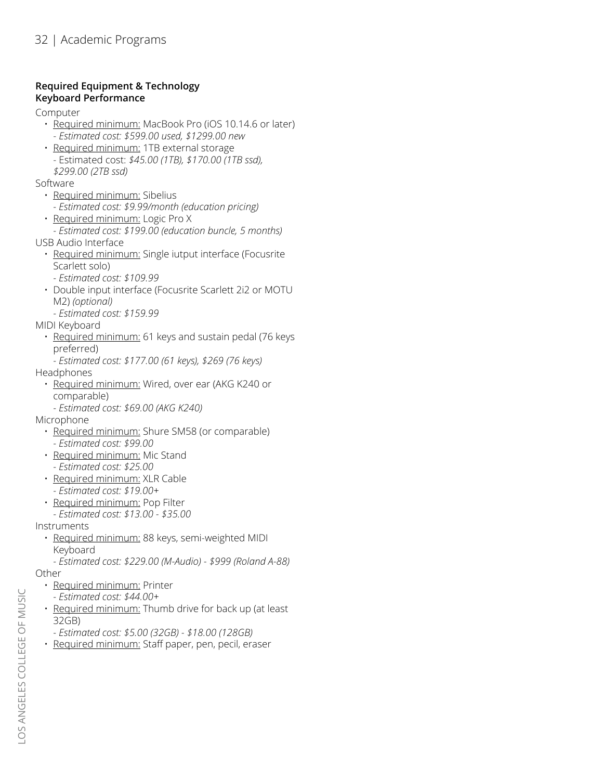#### **Required Equipment & Technology Keyboard Performance**

Computer

- Required minimum: MacBook Pro (iOS 10.14.6 or later)
	- *Estimated cost: \$599.00 used, \$1299.00 new*
- Required minimum: 1TB external storage - Estimated cost: *\$45.00 (1TB), \$170.00 (1TB ssd), \$299.00 (2TB ssd)*
- Software
	- Required minimum: Sibelius
	- *Estimated cost: \$9.99/month (education pricing)*
	- Required minimum: Logic Pro X
- *Estimated cost: \$199.00 (education buncle, 5 months)* USB Audio Interface
	- Required minimum: Single iutput interface (Focusrite Scarlett solo)
		- *Estimated cost: \$109.99*
	- Double input interface (Focusrite Scarlett 2i2 or MOTU M2) *(optional)*
	- *Estimated cost: \$159.99*
- MIDI Keyboard
	- Required minimum: 61 keys and sustain pedal (76 keys preferred)
- *Estimated cost: \$177.00 (61 keys), \$269 (76 keys)* Headphones
- Required minimum: Wired, over ear (AKG K240 or comparable)
	- *Estimated cost: \$69.00 (AKG K240)*
- Microphone
	- Required minimum: Shure SM58 (or comparable)
	- *Estimated cost: \$99.00*
	- Required minimum: Mic Stand *- Estimated cost: \$25.00*
	- Required minimum: XLR Cable *- Estimated cost: \$19.00+*
	- Required minimum: Pop Filter
	- *Estimated cost: \$13.00 \$35.00*

Instruments

- Required minimum: 88 keys, semi-weighted MIDI Keyboard
	- *Estimated cost: \$229.00 (M-Audio) \$999 (Roland A-88)*

**Other** 

- Required minimum: Printer
- *Estimated cost: \$44.00+*
- Required minimum: Thumb drive for back up (at least 32GB)
- *Estimated cost: \$5.00 (32GB) \$18.00 (128GB)*
- Required minimum: Staff paper, pen, pecil, eraser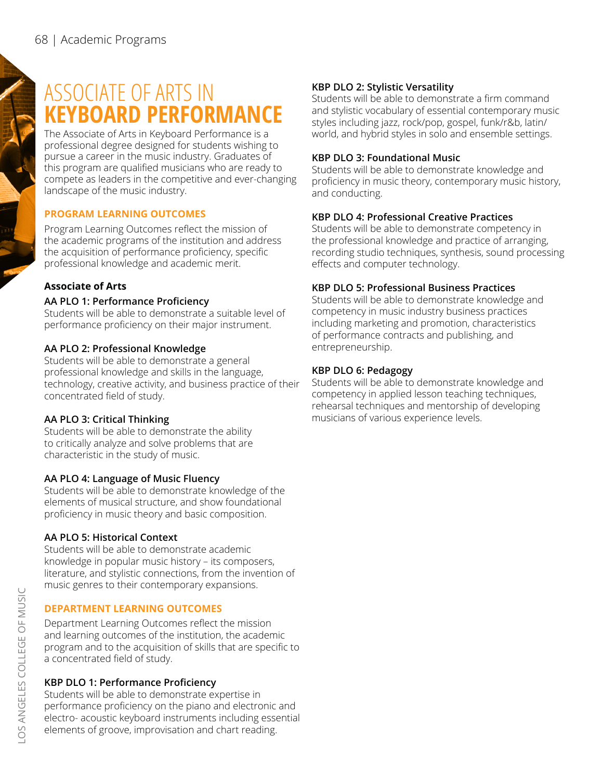# ASSOCIATE OF ARTS IN **KEYBOARD PERFORMANCE**

The Associate of Arts in Keyboard Performance is a professional degree designed for students wishing to pursue a career in the music industry. Graduates of this program are qualified musicians who are ready to compete as leaders in the competitive and ever-changing landscape of the music industry.

### **PROGRAM LEARNING OUTCOMES**

Program Learning Outcomes reflect the mission of the academic programs of the institution and address the acquisition of performance proficiency, specific professional knowledge and academic merit.

# **Associate of Arts**

### **AA PLO 1: Performance Proficiency**

Students will be able to demonstrate a suitable level of performance proficiency on their major instrument.

# **AA PLO 2: Professional Knowledge**

Students will be able to demonstrate a general professional knowledge and skills in the language, technology, creative activity, and business practice of their concentrated field of study.

### **AA PLO 3: Critical Thinking**

Students will be able to demonstrate the ability to critically analyze and solve problems that are characteristic in the study of music.

### **AA PLO 4: Language of Music Fluency**

Students will be able to demonstrate knowledge of the elements of musical structure, and show foundational proficiency in music theory and basic composition.

# **AA PLO 5: Historical Context**

Students will be able to demonstrate academic knowledge in popular music history – its composers, literature, and stylistic connections, from the invention of music genres to their contemporary expansions.

# **DEPARTMENT LEARNING OUTCOMES**

Department Learning Outcomes reflect the mission and learning outcomes of the institution, the academic program and to the acquisition of skills that are specific to a concentrated field of study.

# **KBP DLO 1: Performance Proficiency**

Students will be able to demonstrate expertise in performance proficiency on the piano and electronic and electro- acoustic keyboard instruments including essential elements of groove, improvisation and chart reading.

### **KBP DLO 2: Stylistic Versatility**

Students will be able to demonstrate a firm command and stylistic vocabulary of essential contemporary music styles including jazz, rock/pop, gospel, funk/r&b, latin/ world, and hybrid styles in solo and ensemble settings.

#### **KBP DLO 3: Foundational Music**

Students will be able to demonstrate knowledge and proficiency in music theory, contemporary music history, and conducting.

# **KBP DLO 4: Professional Creative Practices**

Students will be able to demonstrate competency in the professional knowledge and practice of arranging, recording studio techniques, synthesis, sound processing effects and computer technology.

# **KBP DLO 5: Professional Business Practices**

Students will be able to demonstrate knowledge and competency in music industry business practices including marketing and promotion, characteristics of performance contracts and publishing, and entrepreneurship.

# **KBP DLO 6: Pedagogy**

Students will be able to demonstrate knowledge and competency in applied lesson teaching techniques, rehearsal techniques and mentorship of developing musicians of various experience levels.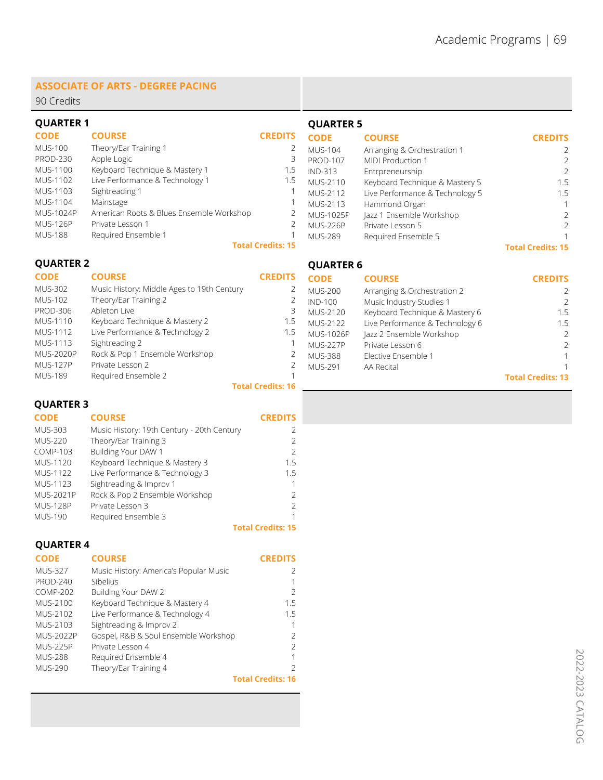#### **ASSOCIATE OF ARTS - DEGREE PACING**

90 Credits

| <b>QUARTER 1</b> |                                          |                          | <b>QUARTER 5</b> |                                 |                          |
|------------------|------------------------------------------|--------------------------|------------------|---------------------------------|--------------------------|
| <b>CODE</b>      | <b>COURSE</b>                            | <b>CREDITS</b>           | <b>CODE</b>      | <b>COURSE</b>                   | <b>CREDITS</b>           |
| <b>MUS-100</b>   | Theory/Ear Training 1                    |                          | MUS-104          | Arranging & Orchestration 1     | $\overline{2}$           |
| <b>PROD-230</b>  | Apple Logic                              | 3                        | <b>PROD-107</b>  | MIDI Production 1               | $\mathcal{P}$            |
| <b>MUS-1100</b>  | Keyboard Technique & Mastery 1           | 1.5                      | <b>IND-313</b>   | Entrpreneurship                 | $\mathcal{P}$            |
| MUS-1102         | Live Performance & Technology 1          | 1.5                      | MUS-2110         | Keyboard Technique & Mastery 5  | 1.5                      |
| MUS-1103         | Sightreading 1                           |                          | MUS-2112         | Live Performance & Technology 5 | 1.5                      |
| MUS-1104         | Mainstage                                |                          | MUS-2113         | Hammond Organ                   |                          |
| MUS-1024P        | American Roots & Blues Ensemble Workshop |                          | MUS-1025P        | Jazz 1 Ensemble Workshop        |                          |
| <b>MUS-126P</b>  | Private Lesson 1                         |                          | MUS-226P         | Private Lesson 5                | $\mathcal{P}$            |
| <b>MUS-188</b>   | Required Ensemble 1                      |                          | MUS-289          | Required Ensemble 5             |                          |
|                  |                                          | <b>Total Credits: 15</b> |                  |                                 | <b>Total Credits: 15</b> |
| <b>QUARTER 2</b> |                                          |                          | <b>OUARTER 6</b> |                                 |                          |

2

2 2 1

**QUARTER 6**

#### **CODE** MUS-302 MUS-102 PROD-306 MUS-1110 MUS-1112 MUS-1113 MUS-2020P MUS-127P MUS-189 **CREDITS** 2 3 1.5 1.5 1 **Total Credits: 16 COURSE** Music History: Middle Ages to 19th Century Theory/Ear Training 2 Ableton Live Keyboard Technique & Mastery 2 Live Performance & Technology 2 Sightreading 2 Rock & Pop 1 Ensemble Workshop Private Lesson 2 Required Ensemble 2

#### **QUARTER 3**

| <b>CODE</b>      | <b>COURSE</b>                              | <b>CREDITS</b>           |
|------------------|--------------------------------------------|--------------------------|
| <b>MUS-303</b>   | Music History: 19th Century - 20th Century | $\mathcal{L}$            |
| <b>MUS-220</b>   | Theory/Ear Training 3                      | $\mathcal{P}$            |
| <b>COMP-103</b>  | Building Your DAW 1                        | $\mathcal{L}$            |
| <b>MUS-1120</b>  | Keyboard Technique & Mastery 3             | 1.5                      |
| <b>MUS-1122</b>  | Live Performance & Technology 3            | 1.5                      |
| MUS-1123         | Sightreading & Improv 1                    | 1                        |
| <b>MUS-2021P</b> | Rock & Pop 2 Ensemble Workshop             | $\mathcal{P}$            |
| <b>MUS-128P</b>  | Private Lesson 3                           | $\mathcal{P}$            |
| <b>MUS-190</b>   | Required Ensemble 3                        | 1                        |
|                  |                                            | <b>Total Credits: 15</b> |

#### **QUARTER 4**

| .,<br>٠ |  |
|---------|--|
|         |  |

| <b>CODE</b>     | <b>COURSE</b>                          | <b>CREDITS</b>           |
|-----------------|----------------------------------------|--------------------------|
| <b>MUS-327</b>  | Music History: America's Popular Music |                          |
| <b>PROD-240</b> | Sibelius                               |                          |
| COMP-202        | Building Your DAW 2                    | $\mathcal{L}$            |
| MUS-2100        | Keyboard Technique & Mastery 4         | 15                       |
| MUS-2102        | Live Performance & Technology 4        | 15                       |
| MUS-2103        | Sightreading & Improv 2                |                          |
| MUS-2022P       | Gospel, R&B & Soul Ensemble Workshop   |                          |
| <b>MUS-225P</b> | Private Lesson 4                       |                          |
| <b>MUS-288</b>  | Required Ensemble 4                    |                          |
| <b>MUS-290</b>  | Theory/Ear Training 4                  |                          |
|                 |                                        | <b>Total Credits: 16</b> |

**CODE** MUS-200 IND-100 MUS-2120 Keyboard Technique & Mastery 6 MUS-2122 MUS-1026P Jazz 2 Ensemble Workshop MUS-227P MUS-388 MUS-291 **CREDITS** 2 2 1.5 1.5 2 2 1 1 **Total Credits: 13 COURSE** Arranging & Orchestration 2 Music Industry Studies 1 Live Performance & Technology 6 Private Lesson 6 Elective Ensemble 1 AA Recital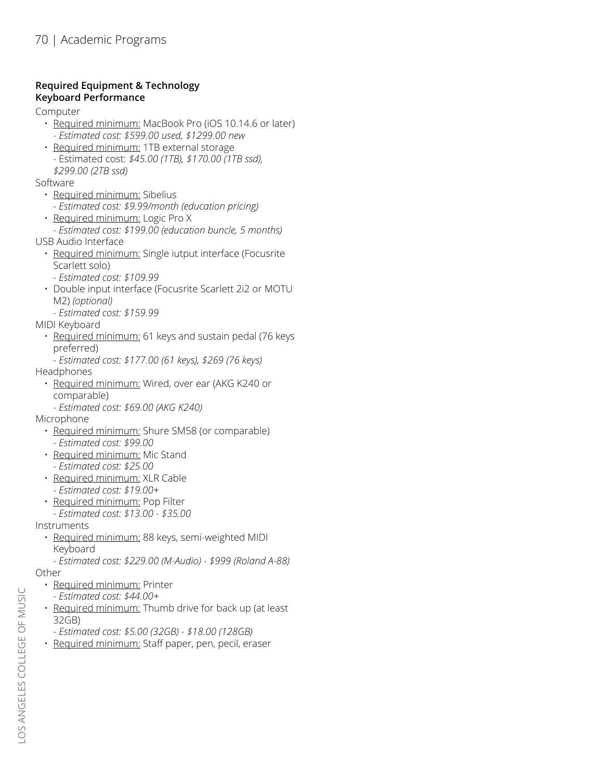#### **Required Equipment & Technology Keyboard Performance**

Computer

- Required minimum: MacBook Pro (iOS 10.14.6 or later)
	- *Estimated cost: \$599.00 used, \$1299.00 new*
- Required minimum: 1TB external storage - Estimated cost: *\$45.00 (1TB), \$170.00 (1TB ssd), \$299.00 (2TB ssd)*
- Software
	- Required minimum: Sibelius
		- *Estimated cost: \$9.99/month (education pricing)*
	- Required minimum: Logic Pro X
- *Estimated cost: \$199.00 (education buncle, 5 months)* USB Audio Interface
	- Required minimum: Single iutput interface (Focusrite Scarlett solo)
		- *Estimated cost: \$109.99*
	- Double input interface (Focusrite Scarlett 2i2 or MOTU M2) *(optional)*
	- *Estimated cost: \$159.99*
- MIDI Keyboard
	- Required minimum: 61 keys and sustain pedal (76 keys preferred)
- *Estimated cost: \$177.00 (61 keys), \$269 (76 keys)* Headphones
- Required minimum: Wired, over ear (AKG K240 or comparable)
	- *Estimated cost: \$69.00 (AKG K240)*
- Microphone
	- Required minimum: Shure SM58 (or comparable) *- Estimated cost: \$99.00*
	- Required minimum: Mic Stand
	- *Estimated cost: \$25.00* • Required minimum: XLR Cable
	- *Estimated cost: \$19.00+*
	- Required minimum: Pop Filter
	- *Estimated cost: \$13.00 \$35.00*

Instruments

- Required minimum: 88 keys, semi-weighted MIDI Keyboard
	- *Estimated cost: \$229.00 (M-Audio) \$999 (Roland A-88)*

Other

- Required minimum: Printer
- *Estimated cost: \$44.00+*
- Required minimum: Thumb drive for back up (at least 32GB)
- *Estimated cost: \$5.00 (32GB) \$18.00 (128GB)*
- Required minimum: Staff paper, pen, pecil, eraser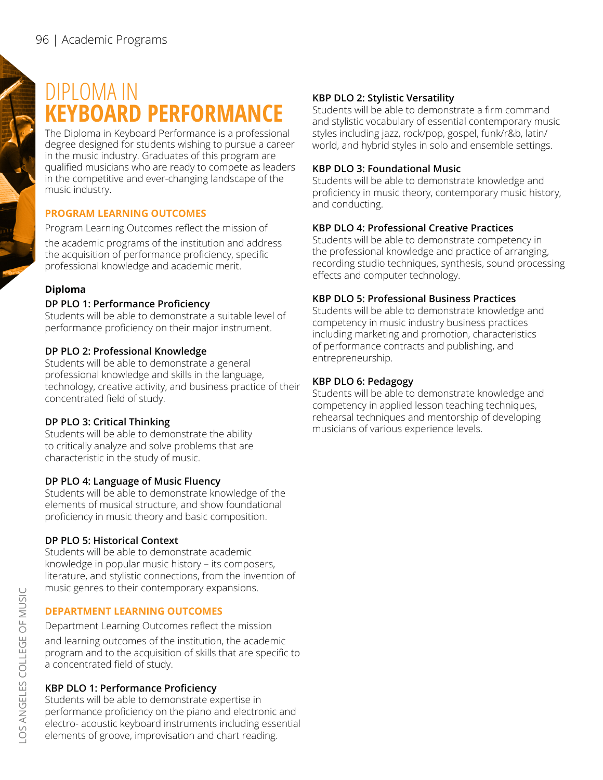# DIPLOMA IN **KEYBOARD PERFORMANCE**

The Diploma in Keyboard Performance is a professional degree designed for students wishing to pursue a career in the music industry. Graduates of this program are qualified musicians who are ready to compete as leaders in the competitive and ever-changing landscape of the music industry.

### **PROGRAM LEARNING OUTCOMES**

Program Learning Outcomes reflect the mission of the academic programs of the institution and address the acquisition of performance proficiency, specific professional knowledge and academic merit.

#### **Diploma**

#### **DP PLO 1: Performance Proficiency**

Students will be able to demonstrate a suitable level of performance proficiency on their major instrument.

#### **DP PLO 2: Professional Knowledge**

Students will be able to demonstrate a general professional knowledge and skills in the language, technology, creative activity, and business practice of their concentrated field of study.

#### **DP PLO 3: Critical Thinking**

Students will be able to demonstrate the ability to critically analyze and solve problems that are characteristic in the study of music.

#### **DP PLO 4: Language of Music Fluency**

Students will be able to demonstrate knowledge of the elements of musical structure, and show foundational proficiency in music theory and basic composition.

#### **DP PLO 5: Historical Context**

Students will be able to demonstrate academic knowledge in popular music history – its composers, literature, and stylistic connections, from the invention of music genres to their contemporary expansions.

#### **DEPARTMENT LEARNING OUTCOMES**

Department Learning Outcomes reflect the mission and learning outcomes of the institution, the academic program and to the acquisition of skills that are specific to a concentrated field of study.

#### **KBP DLO 1: Performance Proficiency**

Students will be able to demonstrate expertise in performance proficiency on the piano and electronic and electro- acoustic keyboard instruments including essential elements of groove, improvisation and chart reading.

#### **KBP DLO 2: Stylistic Versatility**

Students will be able to demonstrate a firm command and stylistic vocabulary of essential contemporary music styles including jazz, rock/pop, gospel, funk/r&b, latin/ world, and hybrid styles in solo and ensemble settings.

# **KBP DLO 3: Foundational Music**

Students will be able to demonstrate knowledge and proficiency in music theory, contemporary music history, and conducting.

# **KBP DLO 4: Professional Creative Practices**

Students will be able to demonstrate competency in the professional knowledge and practice of arranging, recording studio techniques, synthesis, sound processing effects and computer technology.

# **KBP DLO 5: Professional Business Practices**

Students will be able to demonstrate knowledge and competency in music industry business practices including marketing and promotion, characteristics of performance contracts and publishing, and entrepreneurship.

#### **KBP DLO 6: Pedagogy**

Students will be able to demonstrate knowledge and competency in applied lesson teaching techniques, rehearsal techniques and mentorship of developing musicians of various experience levels.